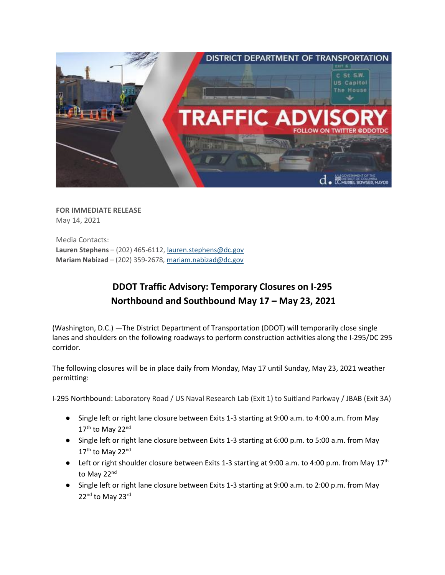

**FOR IMMEDIATE RELEASE** May 14, 2021

Media Contacts: **Lauren Stephens** – (202) 465-6112[, lauren.stephens@dc.gov](mailto:lauren.stephens@dc.gov) **Mariam Nabizad** – (202) 359-2678, [mariam.nabizad@dc.gov](mailto:mariam.nabizad@dc.gov)

## **DDOT Traffic Advisory: Temporary Closures on I-295 Northbound and Southbound May 17 – May 23, 2021**

(Washington, D.C.) —The District Department of Transportation (DDOT) will temporarily close single lanes and shoulders on the following roadways to perform construction activities along the I-295/DC 295 corridor.

The following closures will be in place daily from Monday, May 17 until Sunday, May 23, 2021 weather permitting:

I-295 Northbound: Laboratory Road / US Naval Research Lab (Exit 1) to Suitland Parkway / JBAB (Exit 3A)

- Single left or right lane closure between Exits 1-3 starting at 9:00 a.m. to 4:00 a.m. from May 17<sup>th</sup> to May 22<sup>nd</sup>
- Single left or right lane closure between Exits 1-3 starting at 6:00 p.m. to 5:00 a.m. from May 17<sup>th</sup> to May 22<sup>nd</sup>
- **•** Left or right shoulder closure between Exits 1-3 starting at 9:00 a.m. to 4:00 p.m. from May  $17<sup>th</sup>$ to May 22<sup>nd</sup>
- Single left or right lane closure between Exits 1-3 starting at 9:00 a.m. to 2:00 p.m. from May 22<sup>nd</sup> to May 23<sup>rd</sup>